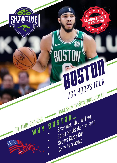

TEL: 0418-554-256

WHY

 $\bullet$ 

 $\bullet$ 

# 86 BOSTON OHTO USA HOOPS TOUR WWW.SHOWTIMEBASKETBALL.COM.AU BOSTON... BASKETBALL HALL OF FAME EXCELLENT US HISTORY SITES

SCHOOL'S ONLY

SPORTS CRAZY CITY SNOW EXPERIENCE